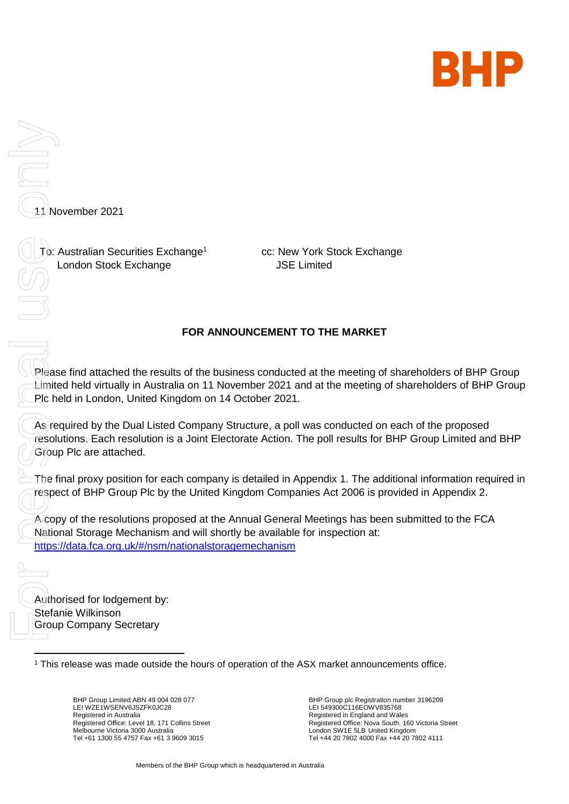

11 November 2021 London Stock Exchange For Peas<br>For Peas<br>For Peas<br>For Peas<br>For Peas<br>For Peas<br>For Peas<br>For Peas<br>Acop<br>Acop<br>Acop<br>Acop<br>Ratio<br>Stefa

To: Australian Securities Exchange<sup>1</sup>

cc: New York Stock Exchange JSE Limited

## **FOR ANNOUNCEMENT TO THE MARKET**

Please find attached the results of the business conducted at the meeting of shareholders of BHP Group Limited held virtually in Australia on 11 November 2021 and at the meeting of shareholders of BHP Group Plc held in London, United Kingdom on 14 October 2021.

As required by the Dual Listed Company Structure, a poll was conducted on each of the proposed resolutions. Each resolution is a Joint Electorate Action. The poll results for BHP Group Limited and BHP Group Plc are attached.

The final proxy position for each company is detailed in Appendix 1. The additional information required in respect of BHP Group Plc by the United Kingdom Companies Act 2006 is provided in Appendix 2.

A copy of the resolutions proposed at the Annual General Meetings has been submitted to the FCA National Storage Mechanism and will shortly be available for inspection at: <https://data.fca.org.uk/#/nsm/nationalstoragemechanism>

Authorised for lodgement by: Stefanie Wilkinson Group Company Secretary

<sup>1</sup> This release was made outside the hours of operation of the ASX market announcements office.

BHP Group Limited ABN 49 004 028 077 LEI WZE1WSENV6JSZFK0JC28 Registered in Australia Registered Office: Level 18, 171 Collins Street Melbourne Victoria 3000 Australia Tel +61 1300 55 4757 Fax +61 3 9609 3015

BHP Group plc Registration number 3196209 LEI 549300C116EOWV835768 Registered in England and Wales Registered Office: Nova South, 160 Victoria Street London SW1E 5LB United Kingdom Tel +44 20 7802 4000 Fax +44 20 7802 4111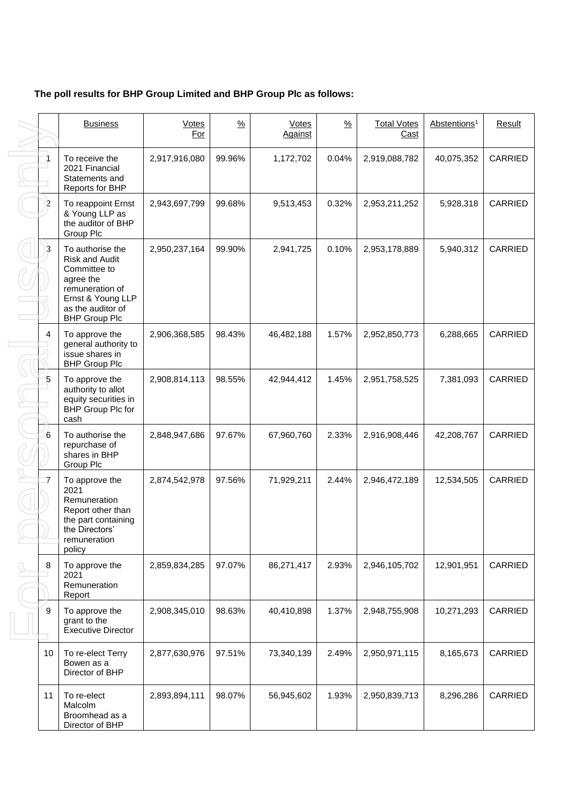# **The poll results for BHP Group Limited and BHP Group Plc as follows:**

|    | <b>Business</b>                                                                                                                                             | <b>Votes</b><br>For | $\frac{9}{6}$ | <b>Votes</b><br>Against | $\frac{9}{6}$ | <b>Total Votes</b><br>Cast | Abstentions <sup>1</sup> | <b>Result</b>  |
|----|-------------------------------------------------------------------------------------------------------------------------------------------------------------|---------------------|---------------|-------------------------|---------------|----------------------------|--------------------------|----------------|
| 1  | To receive the<br>2021 Financial<br>Statements and<br>Reports for BHP                                                                                       | 2,917,916,080       | 99.96%        | 1,172,702               | 0.04%         | 2,919,088,782              | 40,075,352               | CARRIED        |
| 2  | To reappoint Ernst<br>& Young LLP as<br>the auditor of BHP<br>Group Plc                                                                                     | 2,943,697,799       | 99.68%        | 9,513,453               | 0.32%         | 2,953,211,252              | 5,928,318                | <b>CARRIED</b> |
| 3  | To authorise the<br><b>Risk and Audit</b><br>Committee to<br>agree the<br>remuneration of<br>Ernst & Young LLP<br>as the auditor of<br><b>BHP Group Plc</b> | 2,950,237,164       | 99.90%        | 2,941,725               | 0.10%         | 2,953,178,889              | 5,940,312                | <b>CARRIED</b> |
| 4  | To approve the<br>general authority to<br>issue shares in<br><b>BHP Group Plc</b>                                                                           | 2,906,368,585       | 98.43%        | 46,482,188              | 1.57%         | 2,952,850,773              | 6,288,665                | CARRIED        |
| 5  | To approve the<br>authority to allot<br>equity securities in<br>BHP Group Plc for<br>cash                                                                   | 2,908,814,113       | 98.55%        | 42,944,412              | 1.45%         | 2,951,758,525              | 7,381,093                | CARRIED        |
| 6  | To authorise the<br>repurchase of<br>shares in BHP<br>Group Plc                                                                                             | 2,848,947,686       | 97.67%        | 67,960,760              | 2.33%         | 2,916,908,446              | 42,208,767               | CARRIED        |
| 7  | To approve the<br>2021<br>Remuneration<br>Report other than<br>the part containing<br>the Directors'<br>remuneration<br>policy                              | 2,874,542,978       | 97.56%        | 71,929,211              | 2.44%         | 2,946,472,189              | 12,534,505               | <b>CARRIED</b> |
| 8  | To approve the<br>2021<br>Remuneration<br>Report                                                                                                            | 2,859,834,285       | 97.07%        | 86,271,417              | 2.93%         | 2,946,105,702              | 12,901,951               | CARRIED        |
| 9  | To approve the<br>grant to the<br><b>Executive Director</b>                                                                                                 | 2,908,345,010       | 98.63%        | 40,410,898              | 1.37%         | 2,948,755,908              | 10,271,293               | CARRIED        |
| 10 | To re-elect Terry<br>Bowen as a<br>Director of BHP                                                                                                          | 2,877,630,976       | 97.51%        | 73,340,139              | 2.49%         | 2,950,971,115              | 8,165,673                | CARRIED        |
| 11 | To re-elect<br>Malcolm<br>Broomhead as a<br>Director of BHP                                                                                                 | 2,893,894,111       | 98.07%        | 56,945,602              | 1.93%         | 2,950,839,713              | 8,296,286                | CARRIED        |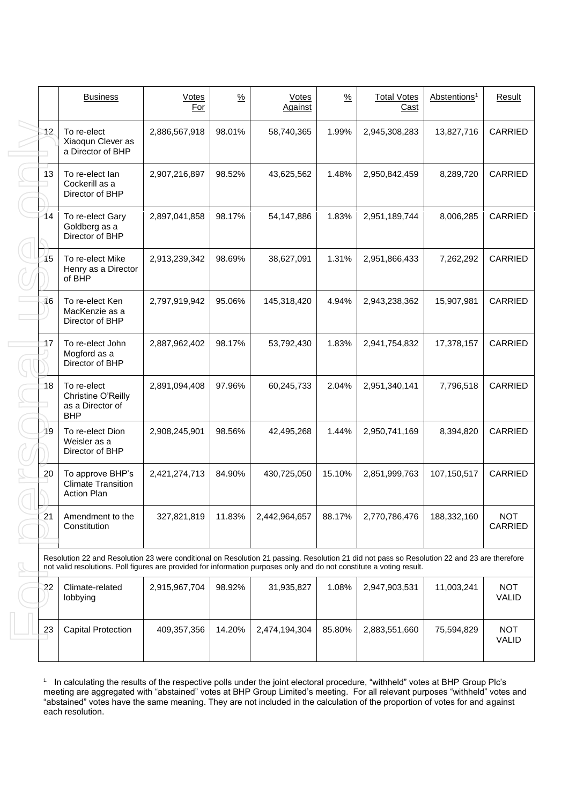|    | <b>Business</b>                                                                                                                                                                                                                                                                                                                                                                                                 | Votes<br>For  | $\frac{9}{6}$ | Votes<br>Against | $\frac{9}{6}$ | <b>Total Votes</b><br>Cast | Abstentions <sup>1</sup> | Result                       |
|----|-----------------------------------------------------------------------------------------------------------------------------------------------------------------------------------------------------------------------------------------------------------------------------------------------------------------------------------------------------------------------------------------------------------------|---------------|---------------|------------------|---------------|----------------------------|--------------------------|------------------------------|
| 12 | To re-elect<br>Xiaoqun Clever as<br>a Director of BHP                                                                                                                                                                                                                                                                                                                                                           | 2,886,567,918 | 98.01%        | 58,740,365       | 1.99%         | 2,945,308,283              | 13,827,716               | <b>CARRIED</b>               |
| 13 | To re-elect lan<br>Cockerill as a<br>Director of BHP                                                                                                                                                                                                                                                                                                                                                            | 2,907,216,897 | 98.52%        | 43,625,562       | 1.48%         | 2,950,842,459              | 8,289,720                | <b>CARRIED</b>               |
| 14 | To re-elect Gary<br>Goldberg as a<br>Director of BHP                                                                                                                                                                                                                                                                                                                                                            | 2,897,041,858 | 98.17%        | 54,147,886       | 1.83%         | 2,951,189,744              | 8,006,285                | <b>CARRIED</b>               |
| 15 | To re-elect Mike<br>Henry as a Director<br>of BHP                                                                                                                                                                                                                                                                                                                                                               | 2,913,239,342 | 98.69%        | 38,627,091       | 1.31%         | 2,951,866,433              | 7,262,292                | <b>CARRIED</b>               |
| 16 | To re-elect Ken<br>MacKenzie as a<br>Director of BHP                                                                                                                                                                                                                                                                                                                                                            | 2,797,919,942 | 95.06%        | 145,318,420      | 4.94%         | 2,943,238,362              | 15,907,981               | <b>CARRIED</b>               |
| 17 | To re-elect John<br>Mogford as a<br>Director of BHP                                                                                                                                                                                                                                                                                                                                                             | 2,887,962,402 | 98.17%        | 53,792,430       | 1.83%         | 2,941,754,832              | 17,378,157               | <b>CARRIED</b>               |
| 18 | To re-elect<br>Christine O'Reilly<br>as a Director of<br><b>BHP</b>                                                                                                                                                                                                                                                                                                                                             | 2,891,094,408 | 97.96%        | 60,245,733       | 2.04%         | 2,951,340,141              | 7,796,518                | <b>CARRIED</b>               |
| 19 | To re-elect Dion<br>Weisler as a<br>Director of BHP                                                                                                                                                                                                                                                                                                                                                             | 2,908,245,901 | 98.56%        | 42,495,268       | 1.44%         | 2,950,741,169              | 8,394,820                | <b>CARRIED</b>               |
| 20 | To approve BHP's<br><b>Climate Transition</b><br><b>Action Plan</b>                                                                                                                                                                                                                                                                                                                                             | 2,421,274,713 | 84.90%        | 430,725,050      | 15.10%        | 2,851,999,763              | 107,150,517              | <b>CARRIED</b>               |
| 21 | Amendment to the<br>Constitution                                                                                                                                                                                                                                                                                                                                                                                | 327,821,819   | 11.83%        | 2,442,964,657    | 88.17%        | 2,770,786,476              | 188,332,160              | <b>NOT</b><br><b>CARRIED</b> |
|    | Resolution 22 and Resolution 23 were conditional on Resolution 21 passing. Resolution 21 did not pass so Resolution 22 and 23 are therefore<br>not valid resolutions. Poll figures are provided for information purposes only and do not constitute a voting result.                                                                                                                                            |               |               |                  |               |                            |                          |                              |
| 22 | Climate-related<br>lobbying                                                                                                                                                                                                                                                                                                                                                                                     | 2,915,967,704 | 98.92%        | 31,935,827       | 1.08%         | 2,947,903,531              | 11,003,241               | <b>NOT</b><br><b>VALID</b>   |
| 23 | <b>Capital Protection</b>                                                                                                                                                                                                                                                                                                                                                                                       | 409,357,356   | 14.20%        | 2,474,194,304    | 85.80%        | 2,883,551,660              | 75,594,829               | <b>NOT</b><br>VALID          |
| 1. | In calculating the results of the respective polls under the joint electoral procedure, "withheld" votes at BHP Group Plc's<br>meeting are aggregated with "abstained" votes at BHP Group Limited's meeting. For all relevant purposes "withheld" votes and<br>"abstained" votes have the same meaning. They are not included in the calculation of the proportion of votes for and against<br>each resolution. |               |               |                  |               |                            |                          |                              |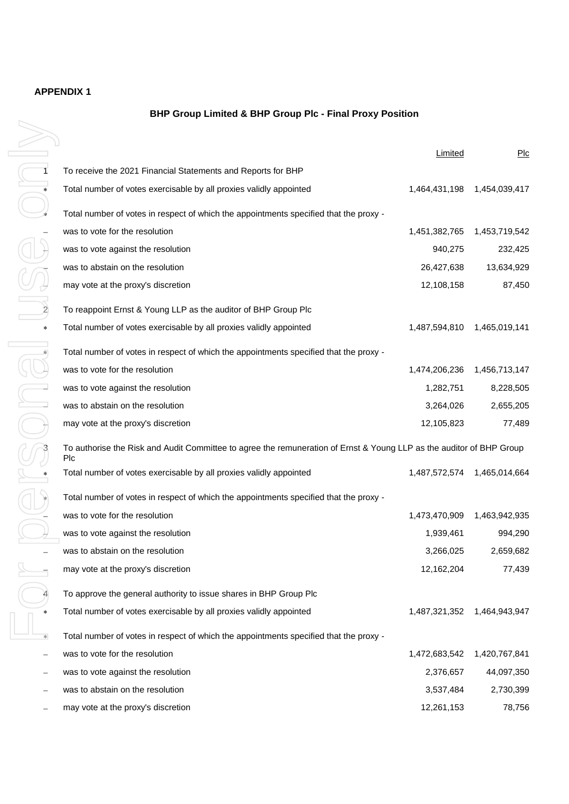### **APPENDIX 1**

#### **BHP Group Limited & BHP Group Plc - Final Proxy Position**

|           |                                                                                                                             | Limited       | Plc           |
|-----------|-----------------------------------------------------------------------------------------------------------------------------|---------------|---------------|
|           | To receive the 2021 Financial Statements and Reports for BHP                                                                |               |               |
|           | Total number of votes exercisable by all proxies validly appointed                                                          | 1,464,431,198 | 1,454,039,417 |
|           | Total number of votes in respect of which the appointments specified that the proxy -                                       |               |               |
|           | was to vote for the resolution                                                                                              | 1,451,382,765 | 1,453,719,542 |
|           | was to vote against the resolution                                                                                          | 940,275       | 232,425       |
|           | was to abstain on the resolution                                                                                            | 26,427,638    | 13,634,929    |
|           | may vote at the proxy's discretion                                                                                          | 12,108,158    | 87,450        |
|           | To reappoint Ernst & Young LLP as the auditor of BHP Group Plc                                                              |               |               |
| $\ast$    | Total number of votes exercisable by all proxies validly appointed                                                          | 1,487,594,810 | 1,465,019,141 |
|           | Total number of votes in respect of which the appointments specified that the proxy -                                       |               |               |
|           | was to vote for the resolution                                                                                              | 1,474,206,236 | 1,456,713,147 |
|           | was to vote against the resolution                                                                                          | 1,282,751     | 8,228,505     |
|           | was to abstain on the resolution                                                                                            | 3,264,026     | 2,655,205     |
|           | may vote at the proxy's discretion                                                                                          | 12,105,823    | 77,489        |
|           | To authorise the Risk and Audit Committee to agree the remuneration of Ernst & Young LLP as the auditor of BHP Group<br>Plc |               |               |
|           | Total number of votes exercisable by all proxies validly appointed                                                          | 1,487,572,574 | 1,465,014,664 |
|           | Total number of votes in respect of which the appointments specified that the proxy -                                       |               |               |
|           | was to vote for the resolution                                                                                              | 1,473,470,909 | 1,463,942,935 |
|           | was to vote against the resolution                                                                                          | 1,939,461     | 994,290       |
|           | was to abstain on the resolution                                                                                            | 3,266,025     | 2,659,682     |
|           | may vote at the proxy's discretion                                                                                          | 12,162,204    | 77,439        |
|           | To approve the general authority to issue shares in BHP Group Plc                                                           |               |               |
|           | Total number of votes exercisable by all proxies validly appointed                                                          | 1,487,321,352 | 1,464,943,947 |
| $\approx$ | Total number of votes in respect of which the appointments specified that the proxy -                                       |               |               |
|           | was to vote for the resolution                                                                                              | 1,472,683,542 | 1,420,767,841 |
|           | was to vote against the resolution                                                                                          | 2,376,657     | 44,097,350    |
|           | was to abstain on the resolution                                                                                            | 3,537,484     | 2,730,399     |
|           | may vote at the proxy's discretion                                                                                          | 12,261,153    | 78,756        |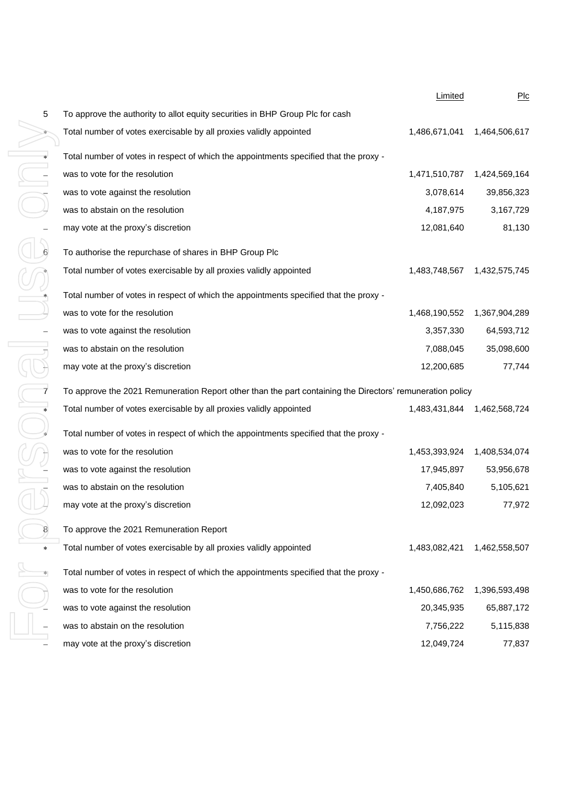| 5      | To approve the authority   |
|--------|----------------------------|
| ∗      | Total number of votes ex   |
| $\ast$ | Total number of votes in   |
|        | was to vote for the resol  |
|        | was to vote against the r  |
|        | was to abstain on the rest |
|        | may vote at the proxy's o  |
|        |                            |
| 6      | To authorise the repurch   |
| 冰      | Total number of votes ex   |
| *      | Total number of votes in   |
|        | was to vote for the resoli |
|        | was to vote against the r  |
|        | was to abstain on the res  |
|        | may vote at the proxy's    |
|        | To approve the 2021 Re     |
| *      | Total number of votes ex   |
| $\ast$ | Total number of votes in   |
|        | was to vote for the resoli |
|        | was to vote against the r  |
|        | was to abstain on the rea  |
|        | may vote at the proxy's o  |
| 8      | To approve the 2021 Re     |
| $\ast$ | Total number of votes ex   |
| $\ast$ | Total number of votes in   |
|        | was to vote for the resol  |
|        | was to vote against the r  |
|        | was to abstain on the rest |
|        | may vote at the proxy's    |
|        |                            |

|                         |                                                                                                           | <b>Limited</b> | PLC           |
|-------------------------|-----------------------------------------------------------------------------------------------------------|----------------|---------------|
| 5                       | To approve the authority to allot equity securities in BHP Group Plc for cash                             |                |               |
|                         | Total number of votes exercisable by all proxies validly appointed                                        | 1,486,671,041  | 1,464,506,617 |
| *                       | Total number of votes in respect of which the appointments specified that the proxy -                     |                |               |
| $\bar{1}$               | was to vote for the resolution                                                                            | 1,471,510,787  | 1,424,569,164 |
|                         | was to vote against the resolution                                                                        | 3,078,614      | 39,856,323    |
|                         | was to abstain on the resolution                                                                          | 4,187,975      | 3,167,729     |
|                         | may vote at the proxy's discretion                                                                        | 12,081,640     | 81,130        |
| 6                       | To authorise the repurchase of shares in BHP Group Plc                                                    |                |               |
|                         | Total number of votes exercisable by all proxies validly appointed                                        | 1,483,748,567  | 1,432,575,745 |
|                         | Total number of votes in respect of which the appointments specified that the proxy -                     |                |               |
|                         | was to vote for the resolution                                                                            | 1,468,190,552  | 1,367,904,289 |
|                         | was to vote against the resolution                                                                        | 3,357,330      | 64,593,712    |
|                         | was to abstain on the resolution                                                                          | 7,088,045      | 35,098,600    |
|                         | may vote at the proxy's discretion                                                                        | 12,200,685     | 77,744        |
| $\overline{\mathbf{z}}$ | To approve the 2021 Remuneration Report other than the part containing the Directors' remuneration policy |                |               |
| *                       | Total number of votes exercisable by all proxies validly appointed                                        | 1,483,431,844  | 1,462,568,724 |
| ×                       | Total number of votes in respect of which the appointments specified that the proxy -                     |                |               |
|                         | was to vote for the resolution                                                                            | 1,453,393,924  | 1,408,534,074 |
|                         | was to vote against the resolution                                                                        | 17,945,897     | 53,956,678    |
|                         | was to abstain on the resolution                                                                          | 7,405,840      | 5,105,621     |
|                         | may vote at the proxy's discretion                                                                        | 12,092,023     | 77,972        |
| 8                       | To approve the 2021 Remuneration Report                                                                   |                |               |
| *                       | Total number of votes exercisable by all proxies validly appointed                                        | 1,483,082,421  | 1,462,558,507 |
| $\approx$               | Total number of votes in respect of which the appointments specified that the proxy -                     |                |               |
|                         | was to vote for the resolution                                                                            | 1,450,686,762  | 1,396,593,498 |
|                         | was to vote against the resolution                                                                        | 20,345,935     | 65,887,172    |
|                         | was to abstain on the resolution                                                                          | 7,756,222      | 5,115,838     |
|                         | may vote at the proxy's discretion                                                                        | 12,049,724     | 77,837        |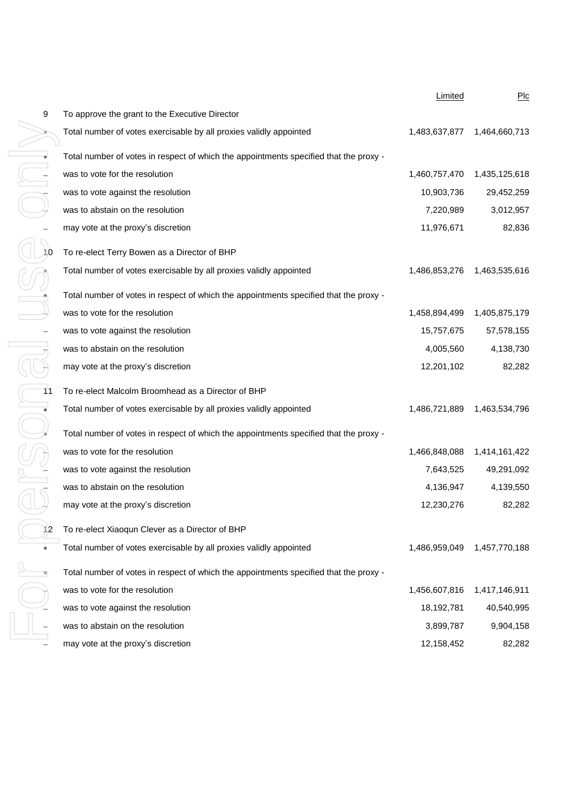|                      |                                                                                       | Limited       | Plc           |
|----------------------|---------------------------------------------------------------------------------------|---------------|---------------|
| 9                    | To approve the grant to the Executive Director                                        |               |               |
|                      | Total number of votes exercisable by all proxies validly appointed                    | 1,483,637,877 | 1,464,660,713 |
| $\ddot{\phantom{0}}$ | Total number of votes in respect of which the appointments specified that the proxy - |               |               |
| $\overline{a}$       | was to vote for the resolution                                                        | 1,460,757,470 | 1,435,125,618 |
|                      | was to vote against the resolution                                                    | 10,903,736    | 29,452,259    |
|                      | was to abstain on the resolution                                                      | 7,220,989     | 3,012,957     |
|                      | may vote at the proxy's discretion                                                    | 11,976,671    | 82,836        |
| 10                   | To re-elect Terry Bowen as a Director of BHP                                          |               |               |
| ×                    | Total number of votes exercisable by all proxies validly appointed                    | 1,486,853,276 | 1,463,535,616 |
|                      | Total number of votes in respect of which the appointments specified that the proxy - |               |               |
|                      | was to vote for the resolution                                                        | 1,458,894,499 | 1,405,875,179 |
|                      | was to vote against the resolution                                                    | 15,757,675    | 57,578,155    |
|                      | was to abstain on the resolution                                                      | 4,005,560     | 4,138,730     |
|                      | may vote at the proxy's discretion                                                    | 12,201,102    | 82,282        |
| 11                   | To re-elect Malcolm Broomhead as a Director of BHP                                    |               |               |
| $\ast$               | Total number of votes exercisable by all proxies validly appointed                    | 1,486,721,889 | 1,463,534,796 |
| ¥                    | Total number of votes in respect of which the appointments specified that the proxy - |               |               |
|                      | was to vote for the resolution                                                        | 1,466,848,088 | 1,414,161,422 |
|                      | was to vote against the resolution                                                    | 7,643,525     | 49,291,092    |
|                      | was to abstain on the resolution                                                      | 4,136,947     | 4,139,550     |
|                      | may vote at the proxy's discretion                                                    | 12,230,276    | 82,282        |
| 12                   | To re-elect Xiaoqun Clever as a Director of BHP                                       |               |               |
| *                    | Total number of votes exercisable by all proxies validly appointed                    | 1,486,959,049 | 1,457,770,188 |
| $\ast$               | Total number of votes in respect of which the appointments specified that the proxy - |               |               |
|                      | was to vote for the resolution                                                        | 1,456,607,816 | 1,417,146,911 |
|                      | was to vote against the resolution                                                    | 18,192,781    | 40,540,995    |
|                      | was to abstain on the resolution                                                      | 3,899,787     | 9,904,158     |
|                      | may vote at the proxy's discretion                                                    | 12,158,452    | 82,282        |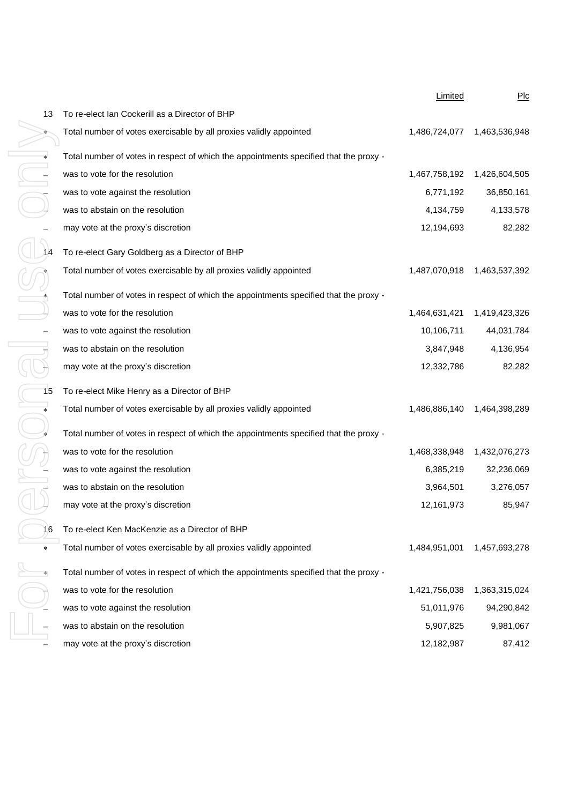|                      |                                                                                       | Limited       | Plc           |
|----------------------|---------------------------------------------------------------------------------------|---------------|---------------|
| 13                   | To re-elect Ian Cockerill as a Director of BHP                                        |               |               |
| $*$                  | Total number of votes exercisable by all proxies validly appointed                    | 1,486,724,077 | 1,463,536,948 |
| $\ddot{\phantom{0}}$ | Total number of votes in respect of which the appointments specified that the proxy - |               |               |
| $\frac{1}{1}$        | was to vote for the resolution                                                        | 1,467,758,192 | 1,426,604,505 |
|                      | was to vote against the resolution                                                    | 6,771,192     | 36,850,161    |
|                      | was to abstain on the resolution                                                      | 4,134,759     | 4,133,578     |
|                      | may vote at the proxy's discretion                                                    | 12,194,693    | 82,282        |
| 14                   | To re-elect Gary Goldberg as a Director of BHP                                        |               |               |
|                      | Total number of votes exercisable by all proxies validly appointed                    | 1,487,070,918 | 1,463,537,392 |
| *                    | Total number of votes in respect of which the appointments specified that the proxy - |               |               |
|                      | was to vote for the resolution                                                        | 1,464,631,421 | 1,419,423,326 |
|                      | was to vote against the resolution                                                    | 10,106,711    | 44,031,784    |
|                      | was to abstain on the resolution                                                      | 3,847,948     | 4,136,954     |
|                      | may vote at the proxy's discretion                                                    | 12,332,786    | 82,282        |
| 15                   | To re-elect Mike Henry as a Director of BHP                                           |               |               |
| *                    | Total number of votes exercisable by all proxies validly appointed                    | 1,486,886,140 | 1,464,398,289 |
| ×                    | Total number of votes in respect of which the appointments specified that the proxy - |               |               |
|                      | was to vote for the resolution                                                        | 1,468,338,948 | 1,432,076,273 |
|                      | was to vote against the resolution                                                    | 6,385,219     | 32,236,069    |
|                      | was to abstain on the resolution                                                      | 3,964,501     | 3,276,057     |
|                      | may vote at the proxy's discretion                                                    | 12,161,973    | 85,947        |
| 16                   | To re-elect Ken MacKenzie as a Director of BHP                                        |               |               |
| *                    | Total number of votes exercisable by all proxies validly appointed                    | 1,484,951,001 | 1,457,693,278 |
| $\approx$            | Total number of votes in respect of which the appointments specified that the proxy - |               |               |
|                      | was to vote for the resolution                                                        | 1,421,756,038 | 1,363,315,024 |
|                      | was to vote against the resolution                                                    | 51,011,976    | 94,290,842    |
|                      | was to abstain on the resolution                                                      | 5,907,825     | 9,981,067     |
|                      | may vote at the proxy's discretion                                                    | 12,182,987    | 87,412        |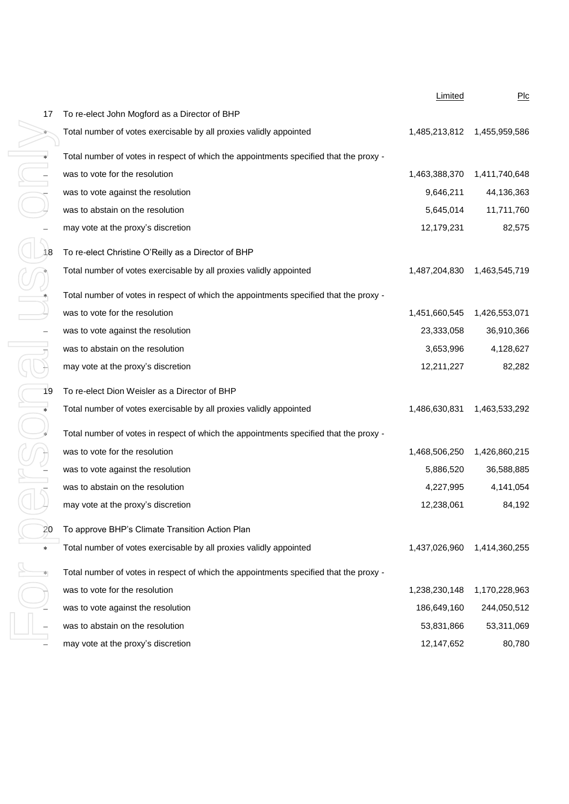|                |                                                                                       | Limited                      | $P$ Ic        |
|----------------|---------------------------------------------------------------------------------------|------------------------------|---------------|
| 17             | To re-elect John Mogford as a Director of BHP                                         |                              |               |
| $*$            | Total number of votes exercisable by all proxies validly appointed                    | 1,485,213,812  1,455,959,586 |               |
| $\ast$         | Total number of votes in respect of which the appointments specified that the proxy - |                              |               |
| $\overline{a}$ | was to vote for the resolution                                                        | 1,463,388,370                | 1,411,740,648 |
|                | was to vote against the resolution                                                    | 9,646,211                    | 44,136,363    |
|                | was to abstain on the resolution                                                      | 5,645,014                    | 11,711,760    |
|                | may vote at the proxy's discretion                                                    | 12,179,231                   | 82,575        |
| 18             | To re-elect Christine O'Reilly as a Director of BHP                                   |                              |               |
|                | Total number of votes exercisable by all proxies validly appointed                    | 1,487,204,830                | 1,463,545,719 |
| *              | Total number of votes in respect of which the appointments specified that the proxy - |                              |               |
|                | was to vote for the resolution                                                        | 1,451,660,545                | 1,426,553,071 |
|                | was to vote against the resolution                                                    | 23,333,058                   | 36,910,366    |
|                | was to abstain on the resolution                                                      | 3,653,996                    | 4,128,627     |
|                | may vote at the proxy's discretion                                                    | 12,211,227                   | 82,282        |
| 19             | To re-elect Dion Weisler as a Director of BHP                                         |                              |               |
| *              | Total number of votes exercisable by all proxies validly appointed                    | 1,486,630,831                | 1,463,533,292 |
| ×              | Total number of votes in respect of which the appointments specified that the proxy - |                              |               |
|                | was to vote for the resolution                                                        | 1,468,506,250                | 1,426,860,215 |
|                | was to vote against the resolution                                                    | 5,886,520                    | 36,588,885    |
|                | was to abstain on the resolution                                                      | 4,227,995                    | 4,141,054     |
|                | may vote at the proxy's discretion                                                    | 12,238,061                   | 84,192        |
| 20             | To approve BHP's Climate Transition Action Plan                                       |                              |               |
| *              | Total number of votes exercisable by all proxies validly appointed                    | 1,437,026,960                | 1,414,360,255 |
| $\approx$      | Total number of votes in respect of which the appointments specified that the proxy - |                              |               |
|                | was to vote for the resolution                                                        | 1,238,230,148                | 1,170,228,963 |
|                | was to vote against the resolution                                                    | 186,649,160                  | 244,050,512   |
|                | was to abstain on the resolution                                                      | 53,831,866                   | 53,311,069    |
|                | may vote at the proxy's discretion                                                    | 12,147,652                   | 80,780        |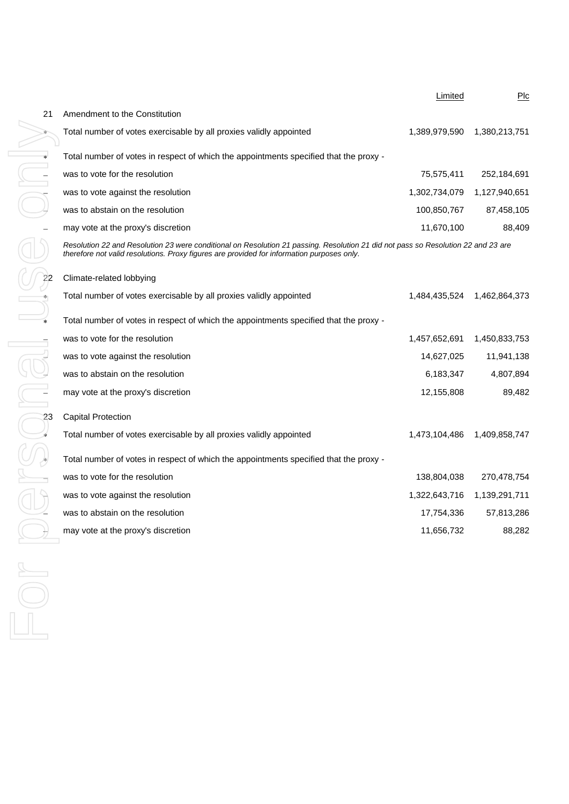|        |                                                                                                                                                                                                                                 | Limited       | PLC           |
|--------|---------------------------------------------------------------------------------------------------------------------------------------------------------------------------------------------------------------------------------|---------------|---------------|
| 21     | Amendment to the Constitution                                                                                                                                                                                                   |               |               |
|        | Total number of votes exercisable by all proxies validly appointed                                                                                                                                                              | 1,389,979,590 | 1,380,213,751 |
|        | Total number of votes in respect of which the appointments specified that the proxy -                                                                                                                                           |               |               |
|        | was to vote for the resolution                                                                                                                                                                                                  | 75,575,411    | 252,184,691   |
|        | was to vote against the resolution                                                                                                                                                                                              | 1,302,734,079 | 1,127,940,651 |
|        | was to abstain on the resolution                                                                                                                                                                                                | 100,850,767   | 87,458,105    |
|        | may vote at the proxy's discretion                                                                                                                                                                                              | 11,670,100    | 88,409        |
|        | Resolution 22 and Resolution 23 were conditional on Resolution 21 passing. Resolution 21 did not pass so Resolution 22 and 23 are<br>therefore not valid resolutions. Proxy figures are provided for information purposes only. |               |               |
|        | Climate-related lobbying                                                                                                                                                                                                        |               |               |
|        | Total number of votes exercisable by all proxies validly appointed                                                                                                                                                              | 1,484,435,524 | 1,462,864,373 |
| $\ast$ | Total number of votes in respect of which the appointments specified that the proxy -                                                                                                                                           |               |               |
|        | was to vote for the resolution                                                                                                                                                                                                  | 1,457,652,691 | 1,450,833,753 |
|        | was to vote against the resolution                                                                                                                                                                                              | 14,627,025    | 11,941,138    |
|        | was to abstain on the resolution                                                                                                                                                                                                | 6,183,347     | 4,807,894     |
|        | may vote at the proxy's discretion                                                                                                                                                                                              | 12,155,808    | 89,482        |
| 23     | <b>Capital Protection</b>                                                                                                                                                                                                       |               |               |
|        | Total number of votes exercisable by all proxies validly appointed                                                                                                                                                              | 1,473,104,486 | 1,409,858,747 |
|        | Total number of votes in respect of which the appointments specified that the proxy -                                                                                                                                           |               |               |
|        | was to vote for the resolution                                                                                                                                                                                                  | 138,804,038   | 270,478,754   |
|        | was to vote against the resolution                                                                                                                                                                                              | 1,322,643,716 | 1,139,291,711 |
|        | was to abstain on the resolution                                                                                                                                                                                                | 17,754,336    | 57,813,286    |
|        | may vote at the proxy's discretion                                                                                                                                                                                              | 11,656,732    | 88,282        |
|        |                                                                                                                                                                                                                                 |               |               |
|        |                                                                                                                                                                                                                                 |               |               |
|        |                                                                                                                                                                                                                                 |               |               |
|        |                                                                                                                                                                                                                                 |               |               |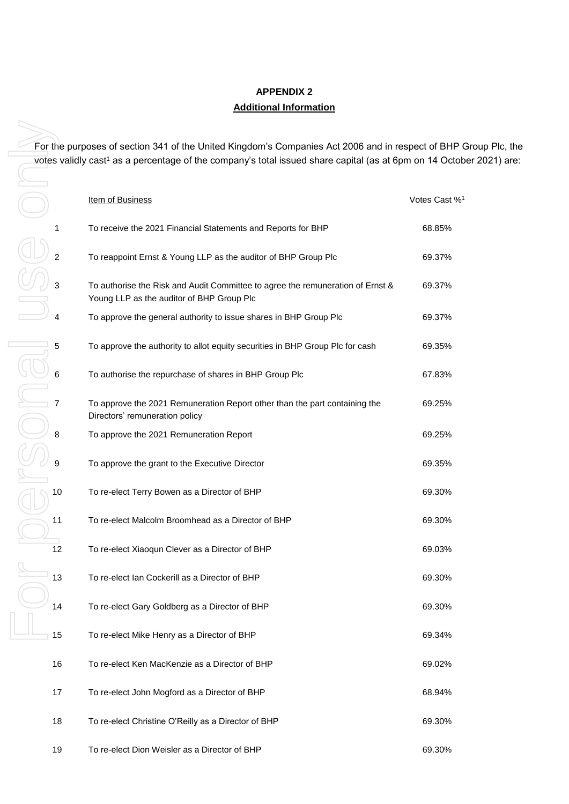## **APPENDIX 2 Additional Information**

For the purposes of section 341 of the United Kingdom's Companies Act 2006 and in respect of BHP Group Plc, the votes validly cast<sup>1</sup> as a percentage of the company's total issued share capital (as at 6pm on 14 October 2021) are:

|    | For the purposes of section 341 of the United Kingdom's Companies Act 2006 and in respect of BHP (                          |                           |
|----|-----------------------------------------------------------------------------------------------------------------------------|---------------------------|
|    | votes validly cast <sup>1</sup> as a percentage of the company's total issued share capital (as at 6pm on 14 Octob          |                           |
|    |                                                                                                                             |                           |
|    | <b>Item of Business</b>                                                                                                     | Votes Cast % <sup>1</sup> |
| 1  | To receive the 2021 Financial Statements and Reports for BHP                                                                | 68.85%                    |
| 2  | To reappoint Ernst & Young LLP as the auditor of BHP Group Plc                                                              | 69.37%                    |
| 3  | To authorise the Risk and Audit Committee to agree the remuneration of Ernst &<br>Young LLP as the auditor of BHP Group Plc | 69.37%                    |
| 4  | To approve the general authority to issue shares in BHP Group Plc                                                           | 69.37%                    |
| 5  | To approve the authority to allot equity securities in BHP Group Plc for cash                                               | 69.35%                    |
| 6  | To authorise the repurchase of shares in BHP Group Plc                                                                      | 67.83%                    |
|    | To approve the 2021 Remuneration Report other than the part containing the<br>Directors' remuneration policy                | 69.25%                    |
| 8  | To approve the 2021 Remuneration Report                                                                                     | 69.25%                    |
|    | To approve the grant to the Executive Director                                                                              | 69.35%                    |
| 10 | To re-elect Terry Bowen as a Director of BHP                                                                                | 69.30%                    |
| 11 | To re-elect Malcolm Broomhead as a Director of BHP                                                                          | 69.30%                    |
| 12 | To re-elect Xiaoqun Clever as a Director of BHP                                                                             | 69.03%                    |
| 13 | To re-elect Ian Cockerill as a Director of BHP                                                                              | 69.30%                    |
| 14 | To re-elect Gary Goldberg as a Director of BHP                                                                              | 69.30%                    |
| 15 | To re-elect Mike Henry as a Director of BHP                                                                                 | 69.34%                    |
| 16 | To re-elect Ken MacKenzie as a Director of BHP                                                                              | 69.02%                    |
| 17 | To re-elect John Mogford as a Director of BHP                                                                               | 68.94%                    |
| 18 | To re-elect Christine O'Reilly as a Director of BHP                                                                         | 69.30%                    |
| 19 | To re-elect Dion Weisler as a Director of BHP                                                                               | 69.30%                    |